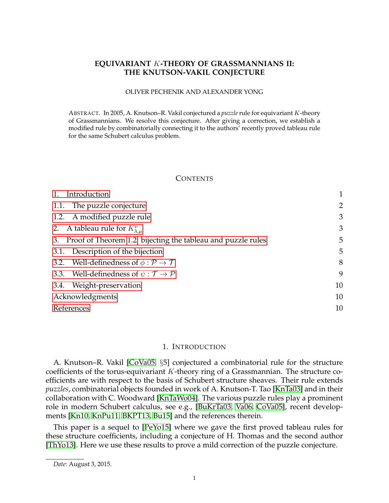# **EQUIVARIANT** K**-THEORY OF GRASSMANNIANS II: THE KNUTSON-VAKIL CONJECTURE**

#### OLIVER PECHENIK AND ALEXANDER YONG

ABSTRACT. In 2005, A. Knutson–R. Vakil conjectured a *puzzle*rule for equivariant K-theory of Grassmannians. We resolve this conjecture. After giving a correction, we establish a modified rule by combinatorially connecting it to the authors' recently proved tableau rule for the same Schubert calculus problem.

## **CONTENTS**

| Introduction                                                    |                |
|-----------------------------------------------------------------|----------------|
| 1.1. The puzzle conjecture                                      | $\overline{2}$ |
| 1.2. A modified puzzle rule                                     | 3              |
| 2. A tableau rule for $K_{\lambda,\mu}^{\nu}$                   | 3              |
| 3. Proof of Theorem 1.2: bijecting the tableau and puzzle rules | 5              |
| 3.1. Description of the bijection                               | 5              |
| 3.2. Well-definedness of $\phi : \mathcal{P} \to \mathcal{T}$   | 8              |
| 3.3. Well-definedness of $\psi : \mathcal{T} \to \mathcal{P}$   | 9              |
| 3.4. Weight-preservation                                        | 10             |
| Acknowledgments                                                 | 10             |
| References                                                      | 10             |

#### 1. INTRODUCTION

<span id="page-0-0"></span>A. Knutson–R. Vakil [\[CoVa05,](#page-9-3) §5] conjectured a combinatorial rule for the structure coefficients of the torus-equivariant K-theory ring of a Grassmannian. The structure coefficients are with respect to the basis of Schubert structure sheaves. Their rule extends *puzzles*, combinatorial objects founded in work of A. Knutson-T. Tao [\[KnTa03\]](#page-10-0) and in their collaboration with C. Woodward [\[KnTaWo04\]](#page-10-1). The various puzzle rules play a prominent role in modern Schubert calculus, see e.g., [\[BuKrTa03,](#page-9-4) [Va06,](#page-10-2) [CoVa05\]](#page-9-3), recent developments [\[Kn10,](#page-10-3) [KnPu11,](#page-10-4) [BKPT13,](#page-9-5) [Bu15\]](#page-9-6) and the references therein.

This paper is a sequel to [\[PeYo15\]](#page-10-5) where we gave the first proved tableau rules for these structure coefficients, including a conjecture of H. Thomas and the second author [\[ThYo13\]](#page-10-6). Here we use these results to prove a mild correction of the puzzle conjecture.

*Date*: August 3, 2015.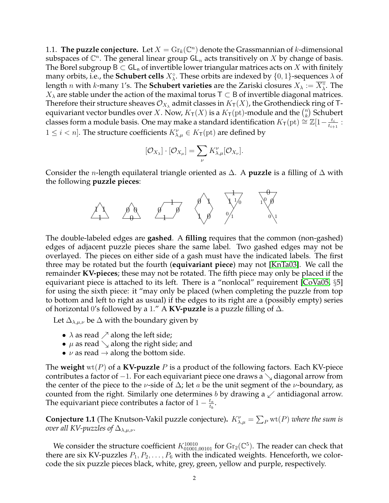<span id="page-1-0"></span>1.1. **The puzzle conjecture.** Let  $X = \mathrm{Gr}_k(\mathbb{C}^n)$  denote the Grassmannian of k-dimensional subspaces of  $\mathbb{C}^n$ . The general linear group  $\mathsf{GL}_n$  acts transitively on  $X$  by change of basis. The Borel subgroup B  $\subset$  GL<sub>n</sub> of invertible lower triangular matrices acts on X with finitely many orbits, i.e., the **Schubert cells**  $X_{\lambda}^{\circ}$ . These orbits are indexed by  $\{0,1\}$ -sequences  $\lambda$  of length  $n$  with  $k$ -many 1's. The **Schubert varieties** are the Zariski closures  $X_\lambda := \overline{X_\lambda^\circ}.$  The  $X_{\lambda}$  are stable under the action of the maximal torus T  $\subset$  B of invertible diagonal matrices. Therefore their structure sheaves  $\mathcal{O}_{X_\lambda}$  admit classes in  $K_\mathsf{T}(X)$ , the Grothendieck ring of Tequivariant vector bundles over X. Now,  $K_T(X)$  is a  $K_T(\text{pt})$ -module and the  $\binom{n}{k}$  $\binom{n}{k}$  Schubert classes form a module basis. One may make a standard identification  $K_T(pt) \stackrel{\sim}{\cong} \mathbb{Z}[1-\frac{t_i}{t_{i+1}}]$  $\frac{t_i}{t_{i+1}}:$  $1 \leq i < n$ . The structure coefficients  $K_{\lambda,\mu}^{\nu} \in K_{\mathsf{T}}(\text{pt})$  are defined by

$$
[\mathcal{O}_{X_{\lambda}}] \cdot [\mathcal{O}_{X_{\mu}}] = \sum_{\nu} K_{\lambda,\mu}^{\nu} [\mathcal{O}_{X_{\nu}}].
$$

Consider the n-length equilateral triangle oriented as ∆. A **puzzle** is a filling of ∆ with the following **puzzle pieces**:



The double-labeled edges are **gashed**. A **filling** requires that the common (non-gashed) edges of adjacent puzzle pieces share the same label. Two gashed edges may not be overlayed. The pieces on either side of a gash must have the indicated labels. The first three may be rotated but the fourth (**equivariant piece**) may not [\[KnTa03\]](#page-10-0). We call the remainder **KV-pieces**; these may not be rotated. The fifth piece may only be placed if the equivariant piece is attached to its left. There is a "nonlocal" requirement [\[CoVa05,](#page-9-3) §5] for using the sixth piece: it "may only be placed (when completing the puzzle from top to bottom and left to right as usual) if the edges to its right are a (possibly empty) series of horizontal 0's followed by a 1." A **KV-puzzle** is a puzzle filling of ∆.

Let  $\Delta_{\lambda,\mu,\nu}$  be  $\Delta$  with the boundary given by

- $\lambda$  as read  $\nearrow$  along the left side;
- $\mu$  as read  $\searrow$  along the right side; and
- $\nu$  as read  $\rightarrow$  along the bottom side.

The **weight**  $wt(P)$  of a **KV-puzzle** P is a product of the following factors. Each KV-piece contributes a factor of  $-1$ . For each equivariant piece one draws a  $\searrow$  diagonal arrow from the center of the piece to the *ν*-side of  $\Delta$ ; let *a* be the unit segment of the *ν*-boundary, as counted from the right. Similarly one determines b by drawing a  $\swarrow$  antidiagonal arrow. The equivariant piece contributes a factor of  $1-\frac{t_a}{t_b}$  $\frac{t_a}{t_b}$ .

<span id="page-1-1"></span>**Conjecture 1.1** (The Knutson-Vakil puzzle conjecture).  $K_{\lambda,\mu}^{\nu} = \sum_{P} \text{wt}(P)$  *where the sum is over all KV-puzzles of*  $\Delta_{\lambda,\mu,\nu}$ *.* 

We consider the structure coefficient  $K_{01001,00101}^{10010}$  for  $\text{Gr}_2(\mathbb{C}^5)$ . The reader can check that there are six KV-puzzles  $P_1, P_2, \ldots, P_6$  with the indicated weights. Henceforth, we colorcode the six puzzle pieces black, white, grey, green, yellow and purple, respectively.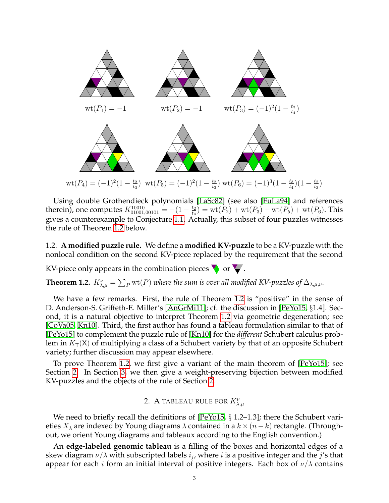

Using double Grothendieck polynomials [\[LaSc82\]](#page-10-7) (see also [\[FuLa94\]](#page-9-7) and references therein), one computes  $K_{01001,00101}^{10010} = -(1 - \frac{t_2}{t_4})$  $\frac{t_2}{t_4}$  ) = wt( $P_2$ ) + wt( $P_3$ ) + wt( $P_5$ ) + wt( $P_6$ ). This gives a counterexample to Conjecture [1.1.](#page-1-1) Actually, this subset of four puzzles witnesses the rule of Theorem [1.2](#page-2-2) below.

<span id="page-2-0"></span>1.2. **A modified puzzle rule.** We define a **modified KV-puzzle** to be a KV-puzzle with the nonlocal condition on the second KV-piece replaced by the requirement that the second

KV-piece only appears in the combination pieces  $\bullet$  or  $\bullet$ .

<span id="page-2-2"></span>**Theorem 1.2.**  $K_{\lambda,\mu}^{\nu} = \sum_{P} \text{wt}(P)$  where the sum is over all modified KV-puzzles of  $\Delta_{\lambda,\mu,\nu}$ .

We have a few remarks. First, the rule of Theorem [1.2](#page-2-2) is "positive" in the sense of D. Anderson-S. Griffeth-E. Miller's [\[AnGrMi11\]](#page-9-8); cf. the discussion in [\[PeYo15,](#page-10-5) §1.4]. Second, it is a natural objective to interpret Theorem [1.2](#page-2-2) via geometric degeneration; see [\[CoVa05,](#page-9-3) [Kn10\]](#page-10-3). Third, the first author has found a tableau formulation similar to that of [\[PeYo15\]](#page-10-5) to complement the puzzle rule of [\[Kn10\]](#page-10-3) for the *different* Schubert calculus problem in  $K_T(X)$  of multiplying a class of a Schubert variety by that of an opposite Schubert variety; further discussion may appear elsewhere.

To prove Theorem [1.2,](#page-2-2) we first give a variant of the main theorem of [\[PeYo15\]](#page-10-5); see Section [2.](#page-2-1) In Section [3,](#page-4-0) we then give a weight-preserving bijection between modified KV-puzzles and the objects of the rule of Section [2.](#page-2-1)

# 2. A TABLEAU RULE FOR  $K_{\lambda,\mu}^{\nu}$

<span id="page-2-1"></span>We need to briefly recall the definitions of [\[PeYo15,](#page-10-5) § 1.2–1.3]; there the Schubert varieties  $X_{\lambda}$  are indexed by Young diagrams  $\lambda$  contained in a  $k \times (n-k)$  rectangle. (Throughout, we orient Young diagrams and tableaux according to the English convention.)

An **edge-labeled genomic tableau** is a filling of the boxes and horizontal edges of a skew diagram  $\nu/\lambda$  with subscripted labels  $i_j$ , where  $i$  is a positive integer and the  $j^{\prime}$ s that appear for each *i* form an initial interval of positive integers. Each box of  $\nu/\lambda$  contains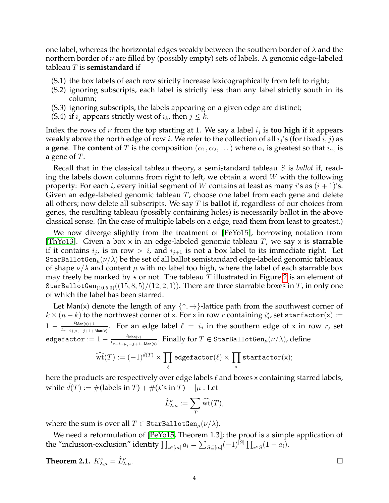one label, whereas the horizontal edges weakly between the southern border of  $\lambda$  and the northern border of  $\nu$  are filled by (possibly empty) sets of labels. A genomic edge-labeled tableau T is **semistandard** if

- (S.1) the box labels of each row strictly increase lexicographically from left to right;
- (S.2) ignoring subscripts, each label is strictly less than any label strictly south in its column;
- (S.3) ignoring subscripts, the labels appearing on a given edge are distinct;
- (S.4) if  $i_j$  appears strictly west of  $i_k$ , then  $j \leq k$ .

Index the rows of  $\nu$  from the top starting at 1. We say a label  $i_j$  is **too high** if it appears weakly above the north edge of row  $i.$  We refer to the collection of all  $i_j$ 's (for fixed  $i,j$ ) as a **gene**. The **content** of  $T$  is the composition  $(\alpha_1, \alpha_2, \dots)$  where  $\alpha_i$  is greatest so that  $i_{\alpha_i}$  is a gene of T.

Recall that in the classical tableau theory, a semistandard tableau S is *ballot* if, reading the labels down columns from right to left, we obtain a word  $W$  with the following property: For each *i*, every initial segment of W contains at least as many *i's* as  $(i + 1)$ 's. Given an edge-labeled genomic tableau  $T$ , choose one label from each gene and delete all others; now delete all subscripts. We say T is **ballot** if, regardless of our choices from genes, the resulting tableau (possibly containing holes) is necessarily ballot in the above classical sense. (In the case of multiple labels on a edge, read them from least to greatest.)

We now diverge slightly from the treatment of [\[PeYo15\]](#page-10-5), borrowing notation from [\[ThYo13\]](#page-10-6). Given a box x in an edge-labeled genomic tableau T, we say x is **starrable** if it contains  $i_j$ , is in row  $> i$ , and  $i_{j+1}$  is not a box label to its immediate right. Let StarBallotGen<sub>u</sub> $(\nu/\lambda)$  be the set of all ballot semistandard edge-labeled genomic tableaux of shape  $\nu/\lambda$  and content  $\mu$  with no label too high, where the label of each starrable box may freely be marked by  $\star$  or not. The tableau T illustrated in Figure [2](#page-6-0) is an element of StarBallotGen<sub>(10,5,3)</sub>((15, 8, 5)/(12, 2, 1)). There are three starrable boxes in T, in only one of which the label has been starred.

Let Man(x) denote the length of any  $\{\uparrow, \rightarrow\}$ -lattice path from the southwest corner of  $k\times (n-k)$  to the northwest corner of x. For x in row  $r$  containing  $i_j^\star$ , set starfactor(x) :=  $1 - \frac{t_{\text{Man}(x)+1}}{t_{\text{Man}(x)+1}}$  $\frac{t_{\text{Man}(x)+1}}{t_{r-i+\mu_i-j+1+\text{Man}(x)}}$ . For an edge label  $\ell = i_j$  in the southern edge of x in row r, set  $\text{edgefactor} := 1 - \frac{t_{\text{Man}(x)}}{t}$  $\frac{\iota_{\mathsf{Man}(\mathsf{x})}}{\iota_{r-i+\mu_i-j+1+\mathsf{Man}(\mathsf{x})}}.$  Finally for  $T\in\mathtt{StarBallotGen}_\mu(\nu/\lambda)$ , define

$$
\widehat{\mathrm{wt}}(T) := (-1)^{\widehat{d}(T)} \times \prod_\ell \texttt{edgefactor}(\ell) \times \prod_\mathsf{x} \texttt{startactor}(\mathsf{x});
$$

here the products are respectively over edge labels  $\ell$  and boxes x containing starred labels, while  $\hat{d}(T) := \#(\text{labels in } T) + \#(\star \text{'s in } T) - |\mu|$ . Let

$$
\hat{L}_{\lambda,\mu}^{\nu} := \sum_{T} \widehat{\mathrm{wt}}(T),
$$

where the sum is over all  $T \in \text{StarBall}$  other  $\mu(\nu/\lambda)$ .

We need a reformulation of [\[PeYo15,](#page-10-5) Theorem 1.3]; the proof is a simple application of the "inclusion-exclusion" identity  $\prod_{i\in [m]}a_i = \sum_{S\subseteq [m]} (-1)^{|S|}\prod_{i\in S}(1-a_i).$ 

<span id="page-3-0"></span>**Theorem 2.1.**  $K_{\lambda,\mu}^{\nu} = \hat{L}_{\lambda}^{\nu}$  $\mathcal{L}$ <sub>λ,μ</sub>.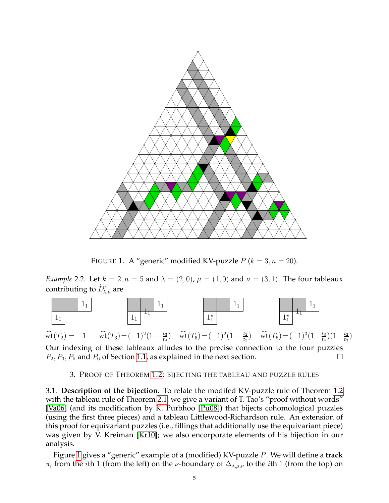

<span id="page-4-2"></span>FIGURE 1. A "generic" modified KV-puzzle  $P(k = 3, n = 20)$ .

<span id="page-4-3"></span>*Example* 2.2*.* Let  $k = 2, n = 5$  and  $\lambda = (2, 0), \mu = (1, 0)$  and  $\nu = (3, 1)$ *.* The four tableaux contributing to  $\hat{L}_{\lambda,\mu}^{\nu}$  are



 $\widehat{\text{wt}}(T_2) = -1 \quad \widehat{\text{wt}}(T_3) = (-1)^2 (1 - \frac{t_3}{t_4})$  $\frac{t_3}{t_4}$ )  $\widehat{\text{wt}}(T_5) = (-1)^2 (1 - \frac{t_2}{t_3})$  $\widehat{t_3}$ )  $\widehat{\text{wt}}(T_6) = (-1)^3 (1 - \frac{t_3}{t_4})$  $\frac{t_3}{t_4}$ )(1- $\frac{t_2}{t_3}$  $\frac{t_2}{t_3}$ 

Our indexing of these tableaux alludes to the precise connection to the four puzzles  $P_2, P_3, P_5$  and  $P_6$  of Section [1.1,](#page-1-0) as explained in the next section.

## 3. PROOF OF THEOREM [1.2:](#page-2-2) BIJECTING THE TABLEAU AND PUZZLE RULES

<span id="page-4-1"></span><span id="page-4-0"></span>3.1. **Description of the bijection.** To relate the modifed KV-puzzle rule of Theorem [1.2](#page-2-2) with the tableau rule of Theorem [2.1,](#page-3-0) we give a variant of T. Tao's "proof without words" [\[Va06\]](#page-10-2) (and its modification by K. Purbhoo [\[Pu08\]](#page-10-8)) that bijects cohomological puzzles (using the first three pieces) and a tableau Littlewood-Richardson rule. An extension of this proof for equivariant puzzles (i.e., fillings that additionally use the equivariant piece) was given by V. Kreiman [\[Kr10\]](#page-10-9); we also encorporate elements of his bijection in our analysis.

Figure [1](#page-4-2) gives a "generic" example of a (modified) KV-puzzle P. We will define a **track**  $\pi_i$  from the *i*th 1 (from the left) on the *ν*-boundary of  $\Delta_{\lambda,\mu,\nu}$  to the *i*th 1 (from the top) on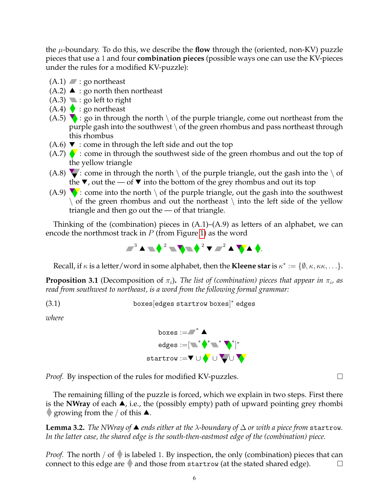the  $\mu$ -boundary. To do this, we describe the **flow** through the (oriented, non-KV) puzzle pieces that use a 1 and four **combination pieces** (possible ways one can use the KV-pieces under the rules for a modified KV-puzzle):

- $(A.1)$   $\blacksquare$ : go northeast
- $(A.2)$   $\blacktriangle$  : go north then northeast
- $(A.3)$  : go left to right
- $(A.4)$  : go northeast
- $(A.5)$  : go in through the north  $\setminus$  of the purple triangle, come out northeast from the purple gash into the southwest  $\setminus$  of the green rhombus and pass northeast through this rhombus
- $(A.6)$   $\blacktriangledown$  : come in through the left side and out the top
- $(A.7)$  : come in through the southwest side of the green rhombus and out the top of the yellow triangle
- $(A.8)$   $\blacktriangleright$ : come in through the north  $\setminus$  of the purple triangle, out the gash into the  $\setminus$  of the  $\blacktriangledown$ , out the — of  $\nabla$  into the bottom of the grey rhombus and out its top
- (A.9)  $\blacktriangledown$ : come into the north \ of the purple triangle, out the gash into the southwest  $\setminus$  of the green rhombus and out the northeast  $\setminus$  into the left side of the yellow triangle and then go out the — of that triangle.

Thinking of the (combination) pieces in  $(A.1)$ – $(A.9)$  as letters of an alphabet, we can encode the northmost track in  $P$  (from Figure [1\)](#page-4-2) as the word



Recall, if  $\kappa$  is a letter/word in some alphabet, then the **Kleene star** is  $\kappa^* := \{\emptyset, \kappa, \kappa \kappa, \ldots\}.$ 

<span id="page-5-1"></span>**Proposition 3.1** (Decomposition of  $\pi_i$ ). The list of (combination) pieces that appear in  $\pi_i$ , as *read from southwest to northeast, is a word from the following formal grammar:*

$$
(3.1)
$$
 **boxes**[edges **startrow boxes**]<sup>\*</sup> edges

*where*

<span id="page-5-0"></span> $\mathsf{boxes} := \blacksquare^*$  $\text{edges} := [\begin{matrix} \bullet & \bullet \end{matrix}^* \begin{matrix} \bullet & \bullet \end{matrix}^* \begin{matrix} \bullet & \bullet \end{matrix}^* \end{matrix}^*]$ startrow :=▼∪◆∪▼∪▼

*Proof.* By inspection of the rules for modified KV-puzzles.  $\Box$ 

The remaining filling of the puzzle is forced, which we explain in two steps. First there is the **NWray** of each  $\blacktriangle$ , i.e., the (possibly empty) path of upward pointing grey rhombi growing from the / of this  $\blacktriangle$ .

<span id="page-5-2"></span>**Lemma 3.2.** *The NWray of* ▲ *ends either at the*  $\lambda$ -boundary of  $\Delta$  *or with a piece from* startrow. *In the latter case, the shared edge is the south-then-eastmost edge of the (combination) piece.*

*Proof.* The north / of  $\blacklozenge$  is labeled 1. By inspection, the only (combination) pieces that can connect to this edge are  $\Diamond$  and those from startrow (at the stated shared edge).  $\Box$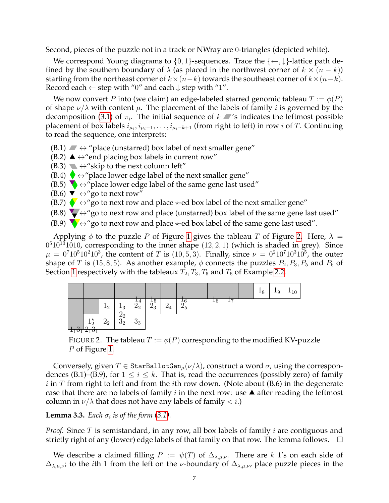Second, pieces of the puzzle not in a track or NWray are 0-triangles (depicted white).

We correspond Young diagrams to  $\{0, 1\}$ -sequences. Trace the  $\{\leftarrow, \downarrow\}$ -lattice path defined by the southern boundary of  $\lambda$  (as placed in the northwest corner of  $k \times (n - k)$ ) starting from the northeast corner of  $k\times(n-k)$  towards the southeast corner of  $k\times(n-k)$ . Record each  $\leftarrow$  step with "0" and each  $\downarrow$  step with "1".

We now convert P into (we claim) an edge-labeled starred genomic tableau  $T := \phi(P)$ of shape  $\nu/\lambda$  with content  $\mu$ . The placement of the labels of family *i* is governed by the decomposition [\(3.1\)](#page-5-0) of  $\pi_i$ . The initial sequence of  $k$   $\blacksquare$ 's indicates the leftmost possible placement of box labels  $i_{\mu_i}, i_{\mu_i-1}, \ldots, i_{\mu_i-k+1}$  (from right to left) in row  $i$  of  $T$ . Continuing to read the sequence, one interprets:

- $(B.1)$   $\longrightarrow$  "place (unstarred) box label of next smaller gene"
- $(B.2)$   $\blacktriangle \leftrightarrow$ "end placing box labels in current row"
- (B.3)  $\rightarrow$   $\leftrightarrow$  "skip to the next column left"
- $(B.4)$   $\rightarrow$  "place lower edge label of the next smaller gene"
- $(B.5)$   $\rightarrow$   $\rightarrow$   $\rightarrow$   $\rightarrow$  place lower edge label of the same gene last used"
- $(B.6)$   $\blacktriangledown$   $\leftrightarrow$  "go to next row"
- (B.7)  $\blacklozenge$   $\leftrightarrow$  "go to next row and place  $\star$ -ed box label of the next smaller gene"
- (B.8)  $\blacktriangledown \leftrightarrow$  "go to next row and place (unstarred) box label of the same gene last used"
- $(B.9)$   $\bigvee \leftrightarrow$  "go to next row and place  $\star$ -ed box label of the same gene last used".

Applying  $\phi$  to the puzzle P of Figure [1](#page-4-2) gives the tableau T of Figure [2.](#page-6-0) Here,  $\lambda =$  $0<sup>5</sup>10<sup>10</sup>1010$ , corresponding to the inner shape  $(12, 2, 1)$  (which is shaded in grey). Since  $\mu = 0^{7} 10^{5} 10^{2} 10^{3}$ , the content of T is (10, 5, 3). Finally, since  $\nu = 0^{2} 10^{7} 10^{3} 10^{5}$ , the outer shape of T is (15, 8, 5). As another example,  $\phi$  connects the puzzles  $P_2$ ,  $P_3$ ,  $P_5$  and  $P_6$  of Section [1](#page-0-0) respectively with the tableaux  $T_2, T_3, T_5$  and  $T_6$  of Example [2.2.](#page-4-3)



<span id="page-6-0"></span>FIGURE 2. The tableau  $T := \phi(P)$  corresponding to the modified KV-puzzle P of Figure [1.](#page-4-2)

Conversely, given  $T \in \text{StarBallotGen}_{\mu}(\nu/\lambda)$ , construct a word  $\sigma_i$  using the correspondences (B.1)–(B.9), for  $1 \le i \le k$ . That is, read the occurrences (possibly zero) of family i in T from right to left and from the ith row down. (Note about  $(B.6)$  in the degenerate case that there are no labels of family  $i$  in the next row: use  $\blacktriangle$  after reading the leftmost column in  $\nu/\lambda$  that does not have any labels of family  $\langle i \rangle$ .

<span id="page-6-1"></span>**Lemma 3.3.** *Each*  $\sigma_i$  *is of the form [\(3.1\)](#page-5-0).* 

*Proof.* Since T is semistandard, in any row, all box labels of family *i* are contiguous and strictly right of any (lower) edge labels of that family on that row. The lemma follows.  $\Box$ 

We describe a claimed filling  $P := \psi(T)$  of  $\Delta_{\lambda,\mu,\nu}$ . There are k 1's on each side of  $\Delta_{\lambda,\mu,\nu}$ ; to the *i*th 1 from the left on the *ν*-boundary of  $\Delta_{\lambda,\mu,\nu}$ , place puzzle pieces in the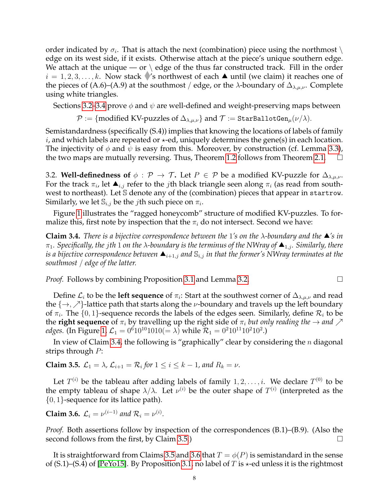order indicated by  $\sigma_i$ . That is attach the next (combination) piece using the northmost  $\setminus$ edge on its west side, if it exists. Otherwise attach at the piece's unique southern edge. We attach at the unique — or  $\backslash$  edge of the thus far constructed track. Fill in the order  $i = 1, 2, 3, \ldots, k$ . Now stack  $\blacklozenge$ 's northwest of each  $\blacktriangle$  until (we claim) it reaches one of the pieces of (A.6)–(A.9) at the southmost / edge, or the  $\lambda$ -boundary of  $\Delta_{\lambda,\mu,\nu}$ . Complete using white triangles.

Sections [3.2](#page-7-0)[–3.4](#page-9-0) prove  $\phi$  and  $\psi$  are well-defined and weight-preserving maps between

 $\mathcal{P} := \{\text{modified KV-puzzles of } \Delta_{\lambda,\mu,\nu}\}\$  and  $\mathcal{T} := \text{StarBallotGen}_{\mu}(\nu/\lambda).$ 

Semistandardness (specifically (S.4)) implies that knowing the locations of labels of family *i*, and which labels are repeated or  $\star$ -ed, uniquely determines the gene(s) in each location. The injectivity of  $\phi$  and  $\psi$  is easy from this. Moreover, by construction (cf. Lemma [3.3\)](#page-6-1), the two maps are mutually reversing. Thus, Theorem [1.2](#page-2-2) follows from Theorem [2.1.](#page-3-0)  $\Box$ 

<span id="page-7-0"></span>3.2. **Well-definedness of**  $\phi : \mathcal{P} \to \mathcal{T}$ . Let  $P \in \mathcal{P}$  be a modified KV-puzzle for  $\Delta_{\lambda,\mu,\nu}$ . For the track  $\pi_i$ , let  $\blacktriangle_{i,j}$  refer to the *j*th black triangle seen along  $\pi_i$  (as read from southwest to northeast). Let S denote any of the (combination) pieces that appear in startrow. Similarly, we let  $\mathbb{S}_{i,j}$  be the  $j$ th such piece on  $\pi_i.$ 

Figure [1](#page-4-2) illustrates the "ragged honeycomb" structure of modified KV-puzzles. To formalize this, first note by inspection that the  $\pi_i$  do not intersect. Second we have:

<span id="page-7-1"></span>**Claim 3.4.** *There is a bijective correspondence between the* 1*'s on the* λ*-boundary and the 's in*  $\pi_1$ *. Specifically, the jth* 1 *on the*  $\lambda$ -boundary is the terminus of the NWray of  $\blacktriangle_{1,j}$ *. Similarly, there is a bijective correspondence between*  $\blacktriangle_{i+1,j}$  *and*  $\mathbb{S}_{i,j}$  *in that the former's NWray terminates at the southmost* / *edge of the latter.*

*Proof.* Follows by combining Proposition [3.1](#page-5-1) and Lemma [3.2.](#page-5-2) □

Define  $\mathcal{L}_i$  to be the **left sequence** of  $\pi_i$ : Start at the southwest corner of  $\Delta_{\lambda,\mu,\nu}$  and read the  $\{\rightarrow, \nearrow\}$ -lattice path that starts along the *ν*-boundary and travels up the left boundary of  $\pi_i$ . The  $\{0,1\}$ -sequence records the labels of the edges seen. Similarly, define  $\mathcal{R}_i$  to be the **right sequence** of  $\pi_i$  by travelling up the right side of  $\pi_i$  *but only reading the*  $\rightarrow$  *and*  $\nearrow$ *edges.* (In Figure [1,](#page-4-2)  $\mathcal{L}_1 = 0^6 10^{10} 1010 (= \lambda)$  while  $\mathcal{R}_1 = 0^2 10^{11} 10^2 10^2$ .)

In view of Claim [3.4,](#page-7-1) the following is "graphically" clear by considering the  $n$  diagonal strips through P:

<span id="page-7-2"></span>**Claim 3.5.**  $\mathcal{L}_1 = \lambda$ ,  $\mathcal{L}_{i+1} = \mathcal{R}_i$  for  $1 \leq i \leq k-1$ , and  $R_k = \nu$ .

Let  $T^{(i)}$  be the tableau after adding labels of family  $1, 2, \ldots, i$ . We declare  $T^{(0)}$  to be the empty tableau of shape  $\lambda/\lambda$ . Let  $\nu^{(i)}$  be the outer shape of  $T^{(i)}$  (interpreted as the  $\{0, 1\}$ -sequence for its lattice path).

<span id="page-7-3"></span>**Claim 3.6.**  $\mathcal{L}_i = \nu^{(i-1)}$  *and*  $\mathcal{R}_i = \nu^{(i)}$ *.* 

*Proof.* Both assertions follow by inspection of the correspondences (B.1)–(B.9). (Also the second follows from the first, by Claim [3.5.](#page-7-2))

It is straightforward from Claims [3.5](#page-7-2) and [3.6](#page-7-3) that  $T = \phi(P)$  is semistandard in the sense of (S.1)–(S.4) of [\[PeYo15\]](#page-10-5). By Proposition [3.1,](#page-5-1) no label of T is  $\star$ -ed unless it is the rightmost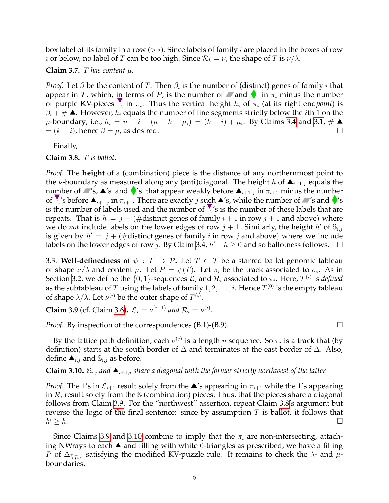box label of its family in a row  $(> i)$ . Since labels of family i are placed in the boxes of row *i* or below, no label of T can be too high. Since  $\mathcal{R}_k = \nu$ , the shape of T is  $\nu/\lambda$ .

## <span id="page-8-4"></span>**Claim 3.7.** T has content  $\mu$ .

*Proof.* Let  $\beta$  be the content of T. Then  $\beta_i$  is the number of (distinct) genes of family  $i$  that appear in T, which, in terms of P, is the number of  $\blacksquare$  and  $\blacklozenge$  in  $\pi_i$  minus the number of purple KV-pieces  $\setminus$  in  $\pi_i$ . Thus the vertical height  $h_i$  of  $\pi_i$  (at its right end*point*) is  $\beta_i + \#$  **A**. However,  $h_i$  equals the number of line segments strictly below the *i*th 1 on the  $\mu$ -boundary; i.e.,  $h_i = n - i - (n - k - \mu_i) = (k - i) + \mu_i$ . By Claims [3.4](#page-7-1) and [3.1,](#page-5-1) #  $=(k - i)$ , hence  $\beta = \mu$ , as desired.

Finally,

<span id="page-8-2"></span>**Claim 3.8.** T *is ballot.*

*Proof.* The **height** of a (combination) piece is the distance of any northernmost point to the *ν*-boundary as measured along any (anti)diagonal. The height h of  $\blacktriangle_{i+1,j}$  equals the number of 's,  $\blacktriangle'$ 's and  $\blacklozenge'$ 's that appear weakly before  $\blacktriangle_{i+1,j}$  in  $\pi_{i+1}$  minus the number of  $\checkmark$ 's before  $\blacktriangle_{i+1,j}$  in  $\pi_{i+1}$ . There are exactly j such  $\blacktriangle'$ s, while the number of  $\blacktriangle'$ s and  $\checkmark'$ s is the number of labels used and the number of  $\sqrt{s}$  is the number of these labels that are repeats. That is  $h = j + (\# \text{distinct genes of family } i + 1 \text{ in row } j + 1 \text{ and above})$  where we do *not* include labels on the lower edges of row  $j + 1$ . Similarly, the height  $h'$  of  $\mathbb{S}_{i,j}$ is given by  $h' = j + (\# \text{distinct genes of family } i \text{ in row } j \text{ and above})$  where we include labels on the lower edges of row  $\check{j}$ . By Claim [3.4,](#page-7-1)  $h'-h\geq 0$  and so ballotness follows.  $\Box$ 

<span id="page-8-0"></span>3.3. **Well-definedness of**  $\psi : \mathcal{T} \to \mathcal{P}$ . Let  $T \in \mathcal{T}$  be a starred ballot genomic tableau of shape  $\nu/\lambda$  and content  $\mu$ . Let  $P = \psi(T)$ . Let  $\pi_i$  be the track associated to  $\sigma_i$ . As in Section [3.2,](#page-7-0) we define the  $\{0,1\}$ -sequences  ${\cal L}_i$  and  ${\cal R}_i$  associated to  $\pi_i.$  Here,  $T^{(i)}$  is *defined* as the subtableau of  $T$  using the labels of family  $1, 2, \ldots, i.$  Hence  $T^{(0)}$  is the empty tableau of shape  $\lambda/\lambda$ . Let  $\nu^{(i)}$  be the outer shape of  $T^{(i)}$ .

<span id="page-8-1"></span>**Claim 3.9** (cf. Claim [3.6\)](#page-7-3).  $\mathcal{L}_i = \nu^{(i-1)}$  and  $\mathcal{R}_i = \nu^{(i)}$ .

*Proof.* By inspection of the correspondences (B.1)-(B.9). □

By the lattice path definition, each  $\nu^{(j)}$  is a length n sequence. So  $\pi_i$  is a track that (by definition) starts at the south border of  $\Delta$  and terminates at the east border of  $\Delta$ . Also, define  $\blacktriangle_{i,j}$  and  $\mathbb{S}_{i,j}$  as before.

# <span id="page-8-3"></span>**Claim 3.10.**  $\mathbb{S}_{i,j}$  *and*  $\blacktriangle_{i+1,j}$  *share a diagonal with the former strictly northwest of the latter.*

*Proof.* The 1's in  $\mathcal{L}_{i+1}$  result solely from the  $\triangle'$ s appearing in  $\pi_{i+1}$  while the 1's appearing in  $\mathcal{R}_i$  result solely from the S (combination) pieces. Thus, that the pieces share a diagonal follows from Claim [3.9.](#page-8-1) For the "northwest" assertion, repeat Claim [3.8'](#page-8-2)s argument but reverse the logic of the final sentence: since by assumption  $T$  is ballot, it follows that  $h' \geq h$ .  $v' \geq h$ .

Since Claims [3.9](#page-8-1) and [3.10](#page-8-3) combine to imply that the  $\pi_i$  are non-intersecting, attaching NWrays to each  $\blacktriangle$  and filling with white 0-triangles as prescribed, we have a filling P of  $\Delta_{\tilde{\lambda}, \tilde{\mu}, \nu}$  satisfying the modified KV-puzzle rule. It remains to check the  $\lambda$ - and  $\mu$ -<br>boundaries boundaries.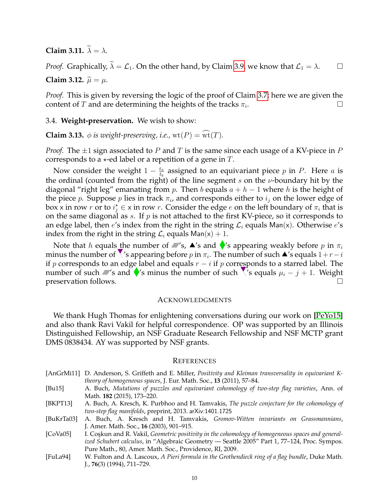**Claim 3.11.**  $\tilde{\lambda} = \lambda$ .

*Proof.* Graphically,  $\lambda = \mathcal{L}_1$ . On the other hand, by Claim [3.9,](#page-8-1) we know that  $\mathcal{L}_1 = \lambda$ .  $\square$ 

**Claim 3.12.**  $\tilde{\mu} = \mu$ .

*Proof.* This is given by reversing the logic of the proof of Claim [3.7;](#page-8-4) here we are given the content of T and are determining the heights of the tracks  $\pi_i$ . .

<span id="page-9-0"></span>3.4. **Weight-preservation.** We wish to show:

**Claim 3.13.**  $\phi$  *is weight-preserving, i.e.,* wt( $P$ ) = wt( $T$ ).

*Proof.* The  $\pm 1$  sign associated to P and T is the same since each usage of a KV-piece in P corresponds to a  $\star$ -ed label or a repetition of a gene in T.

Now consider the weight  $1 - \frac{t_a}{t_a}$  $\frac{t_a}{t_b}$  assigned to an equivariant piece p in P. Here a is the ordinal (counted from the right) of the line segment  $s$  on the  $\nu$ -boundary hit by the diagonal "right leg" emanating from p. Then b equals  $a + h - 1$  where h is the height of the piece p. Suppose p lies in track  $\pi_i$ , and corresponds either to  $i_j$  on the lower edge of box x in row  $r$  or to  $i_j^{\star} \in$  x in row  $r.$  Consider the edge  $e$  on the left boundary of  $\pi_i$  that is on the same diagonal as  $s$ . If  $p$  is not attached to the first KV-piece, so it corresponds to an edge label, then e's index from the right in the string  $\mathcal{L}_i$  equals Man(x). Otherwise e's index from the right in the string  $\mathcal{L}_i$  equals Man(x) + 1.

Note that h equals the number of 's,  $\blacktriangle'$ 's and  $\blacklozenge'$ 's appearing weakly before p in  $\pi_i$ minus the number of  $\setminus$ 's appearing before  $p$  in  $\pi_i.$  The number of such  $\blacktriangle'$ s equals  $1+r-i$ if p corresponds to an edge label and equals  $r - i$  if p corresponds to a starred label. The number of such 's and  $\bigvee$ 's minus the number of such  $\bigvee$ 's equals  $\mu_i - j + 1$ . Weight preservation follows.

### <span id="page-9-1"></span>ACKNOWLEDGMENTS

We thank Hugh Thomas for enlightening conversations during our work on [\[PeYo15\]](#page-10-5) and also thank Ravi Vakil for helpful correspondence. OP was supported by an Illinois Distinguished Fellowship, an NSF Graduate Research Fellowship and NSF MCTP grant DMS 0838434. AY was supported by NSF grants.

#### <span id="page-9-2"></span>**REFERENCES**

- <span id="page-9-8"></span>[AnGrMi11] D. Anderson, S. Griffeth and E. Miller, *Positivity and Kleiman transversality in equivariant Ktheory of homogeneous spaces*, J. Eur. Math. Soc., **13** (2011), 57–84.
- <span id="page-9-6"></span>[Bu15] A. Buch, *Mutations of puzzles and equivariant cohomology of two-step flag varieties*, Ann. of Math. **182** (2015), 173–220.

<span id="page-9-5"></span>[BKPT13] A. Buch, A. Kresch, K. Purbhoo and H. Tamvakis, *The puzzle conjecture for the cohomology of two-step flag manifolds*, preprint, 2013. arXiv:1401.1725

- <span id="page-9-4"></span>[BuKrTa03] A. Buch, A. Kresch and H. Tamvakis, *Gromov-Witten invariants on Grassmannians*, J. Amer. Math. Soc., **16** (2003), 901–915.
- <span id="page-9-3"></span>[CoVa05] I. Coskun and R. Vakil, *Geometric positivity in the cohomology of homogeneous spaces and generalized Schubert calculus*, in "Algebraic Geometry — Seattle 2005" Part 1, 77–124, Proc. Sympos. Pure Math., 80, Amer. Math. Soc., Providence, RI, 2009.
- <span id="page-9-7"></span>[FuLa94] W. Fulton and A. Lascoux, *A Pieri formula in the Grothendieck ring of a flag bundle*, Duke Math. J., **76**(3) (1994), 711–729.